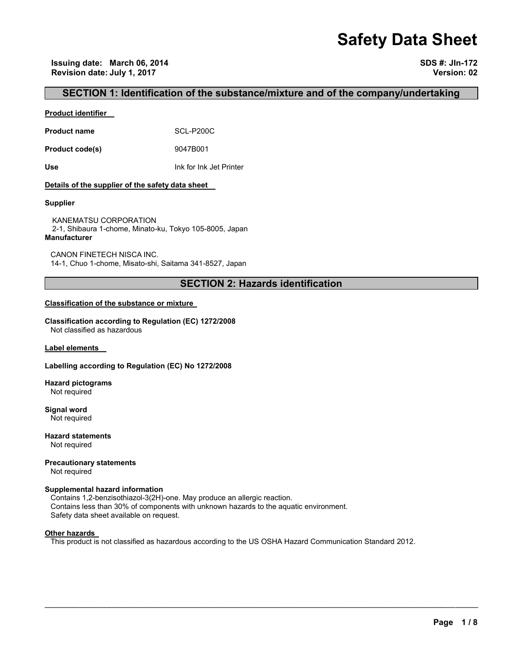# **Safety Data Sheet**

## **SECTION 1: Identification of the substance/mixture and of the company/undertaking**

## **Product identifier**

**Product name** SCL-P200C

**Product code(s)** 9047B001

**Use** Ink for Ink Jet Printer

## **Details of the supplier of the safety data sheet**

## **Supplier**

KANEMATSU CORPORATION 2-1, Shibaura 1-chome, Minato-ku, Tokyo 105-8005, Japan **Manufacturer**

CANON FINETECH NISCA INC. 14-1, Chuo 1-chome, Misato-shi, Saitama 341-8527, Japan

## **SECTION 2: Hazards identification**

## **Classification of the substance or mixture**

**Classification according to Regulation (EC) 1272/2008** Not classified as hazardous

**Label elements** 

## **Labelling according to Regulation (EC) No 1272/2008**

**Hazard pictograms** Not required

**Signal word** Not required

**Hazard statements** Not required

**Precautionary statements**  Not required

## **Supplemental hazard information**

Contains 1,2-benzisothiazol-3(2H)-one. May produce an allergic reaction. Contains less than 30% of components with unknown hazards to the aquatic environment. Safety data sheet available on request.

## **Other hazards**

This product is not classified as hazardous according to the US OSHA Hazard Communication Standard 2012.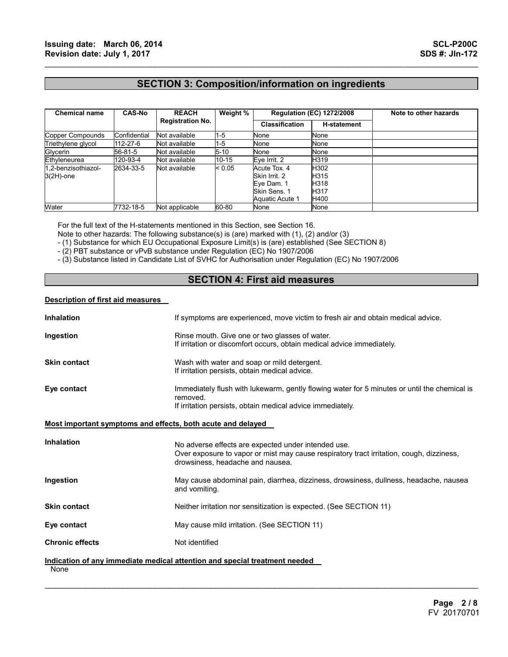## **SECTION 3: Composition/information on ingredients**

 $\mathcal{L}_\mathcal{L} = \{ \mathcal{L}_\mathcal{L} = \{ \mathcal{L}_\mathcal{L} = \{ \mathcal{L}_\mathcal{L} = \{ \mathcal{L}_\mathcal{L} = \{ \mathcal{L}_\mathcal{L} = \{ \mathcal{L}_\mathcal{L} = \{ \mathcal{L}_\mathcal{L} = \{ \mathcal{L}_\mathcal{L} = \{ \mathcal{L}_\mathcal{L} = \{ \mathcal{L}_\mathcal{L} = \{ \mathcal{L}_\mathcal{L} = \{ \mathcal{L}_\mathcal{L} = \{ \mathcal{L}_\mathcal{L} = \{ \mathcal{L}_\mathcal{$ 

| <b>Chemical name</b>                | <b>CAS-No</b> | <b>REACH</b><br><b>Registration No.</b> | Weight %  | <b>Regulation (EC) 1272/2008</b>                                               |                                      | Note to other hazards |
|-------------------------------------|---------------|-----------------------------------------|-----------|--------------------------------------------------------------------------------|--------------------------------------|-----------------------|
|                                     |               |                                         |           | <b>Classification</b>                                                          | <b>H-statement</b>                   |                       |
| Copper Compounds                    | Confidential  | Not available                           | $1 - 5$   | None                                                                           | None                                 |                       |
| Triethylene glycol                  | 112-27-6      | Not available                           | $1-5$     | None                                                                           | None                                 |                       |
| Glycerin                            | 56-81-5       | Not available                           | $5 - 10$  | None                                                                           | None                                 |                       |
| Ethyleneurea                        | 120-93-4      | Not available                           | $10 - 15$ | Eye Irrit. 2                                                                   | H319                                 |                       |
| 1.2-benzisothiazol-<br>$3(2H)$ -one | 2634-33-5     | Not available                           | < 0.05    | Acute Tox. 4<br>Skin Irrit, 2<br>Eye Dam. 1<br>Skin Sens, 1<br>Aquatic Acute 1 | H302<br>H315<br>H318<br>H317<br>H400 |                       |
| Water                               | 7732-18-5     | Not applicable                          | 60-80     | None                                                                           | None                                 |                       |

For the full text of the H-statements mentioned in this Section, see Section 16.

Note to other hazards: The following substance(s) is (are) marked with (1), (2) and/or (3)

- (1) Substance for which EU Occupational Exposure Limit(s) is (are) established (See SECTION 8)

- (2) PBT substance or vPvB substance under Regulation (EC) No 1907/2006

- (3) Substance listed in Candidate List of SVHC for Authorisation under Regulation (EC) No 1907/2006

## **SECTION 4: First aid measures**

## **Description of first aid measures**

| <b>Inhalation</b>                                           | If symptoms are experienced, move victim to fresh air and obtain medical advice.                                                                                                    |
|-------------------------------------------------------------|-------------------------------------------------------------------------------------------------------------------------------------------------------------------------------------|
| Ingestion                                                   | Rinse mouth. Give one or two glasses of water.<br>If irritation or discomfort occurs, obtain medical advice immediately.                                                            |
| <b>Skin contact</b>                                         | Wash with water and soap or mild detergent.<br>If irritation persists, obtain medical advice.                                                                                       |
| Eye contact                                                 | Immediately flush with lukewarm, gently flowing water for 5 minutes or until the chemical is<br>removed.<br>If irritation persists, obtain medical advice immediately.              |
| Most important symptoms and effects, both acute and delayed |                                                                                                                                                                                     |
| <b>Inhalation</b>                                           | No adverse effects are expected under intended use.<br>Over exposure to vapor or mist may cause respiratory tract irritation, cough, dizziness,<br>drowsiness, headache and nausea. |
| Ingestion                                                   | May cause abdominal pain, diarrhea, dizziness, drowsiness, dullness, headache, nausea<br>and vomiting.                                                                              |
| <b>Skin contact</b>                                         | Neither irritation nor sensitization is expected. (See SECTION 11)                                                                                                                  |
| Eye contact                                                 | May cause mild irritation. (See SECTION 11)                                                                                                                                         |
| <b>Chronic effects</b>                                      | Not identified                                                                                                                                                                      |
| None                                                        | Indication of any immediate medical attention and special treatment needed                                                                                                          |

 $\mathcal{L}_\mathcal{L} = \mathcal{L}_\mathcal{L} = \mathcal{L}_\mathcal{L} = \mathcal{L}_\mathcal{L} = \mathcal{L}_\mathcal{L} = \mathcal{L}_\mathcal{L} = \mathcal{L}_\mathcal{L} = \mathcal{L}_\mathcal{L} = \mathcal{L}_\mathcal{L} = \mathcal{L}_\mathcal{L} = \mathcal{L}_\mathcal{L} = \mathcal{L}_\mathcal{L} = \mathcal{L}_\mathcal{L} = \mathcal{L}_\mathcal{L} = \mathcal{L}_\mathcal{L} = \mathcal{L}_\mathcal{L} = \mathcal{L}_\mathcal{L}$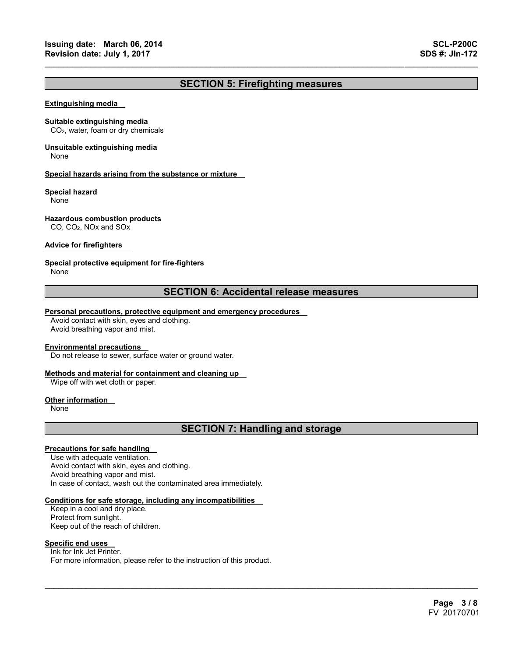## **SECTION 5: Firefighting measures**

 $\mathcal{L}_\mathcal{L} = \{ \mathcal{L}_\mathcal{L} = \{ \mathcal{L}_\mathcal{L} = \{ \mathcal{L}_\mathcal{L} = \{ \mathcal{L}_\mathcal{L} = \{ \mathcal{L}_\mathcal{L} = \{ \mathcal{L}_\mathcal{L} = \{ \mathcal{L}_\mathcal{L} = \{ \mathcal{L}_\mathcal{L} = \{ \mathcal{L}_\mathcal{L} = \{ \mathcal{L}_\mathcal{L} = \{ \mathcal{L}_\mathcal{L} = \{ \mathcal{L}_\mathcal{L} = \{ \mathcal{L}_\mathcal{L} = \{ \mathcal{L}_\mathcal{$ 

#### **Extinguishing media**

#### **Suitable extinguishing media**

CO2, water, foam or dry chemicals

## **Unsuitable extinguishing media**

None

#### **Special hazards arising from the substance or mixture**

#### **Special hazard**

None

## **Hazardous combustion products**

CO, CO2, NOx and SOx

## **Advice for firefighters**

## **Special protective equipment for fire-fighters**

None

## **SECTION 6: Accidental release measures**

#### **Personal precautions, protective equipment and emergency procedures**

Avoid contact with skin, eyes and clothing. Avoid breathing vapor and mist.

#### **Environmental precautions**

Do not release to sewer, surface water or ground water.

## **Methods and material for containment and cleaning up**

Wipe off with wet cloth or paper.

#### **Other information**

None

## **SECTION 7: Handling and storage**

 $\mathcal{L}_\mathcal{L} = \mathcal{L}_\mathcal{L} = \mathcal{L}_\mathcal{L} = \mathcal{L}_\mathcal{L} = \mathcal{L}_\mathcal{L} = \mathcal{L}_\mathcal{L} = \mathcal{L}_\mathcal{L} = \mathcal{L}_\mathcal{L} = \mathcal{L}_\mathcal{L} = \mathcal{L}_\mathcal{L} = \mathcal{L}_\mathcal{L} = \mathcal{L}_\mathcal{L} = \mathcal{L}_\mathcal{L} = \mathcal{L}_\mathcal{L} = \mathcal{L}_\mathcal{L} = \mathcal{L}_\mathcal{L} = \mathcal{L}_\mathcal{L}$ 

## **Precautions for safe handling**

Use with adequate ventilation. Avoid contact with skin, eyes and clothing. Avoid breathing vapor and mist. In case of contact, wash out the contaminated area immediately.

#### **Conditions for safe storage, including any incompatibilities**

Keep in a cool and dry place. Protect from sunlight. Keep out of the reach of children.

## **Specific end uses**

Ink for Ink Jet Printer. For more information, please refer to the instruction of this product.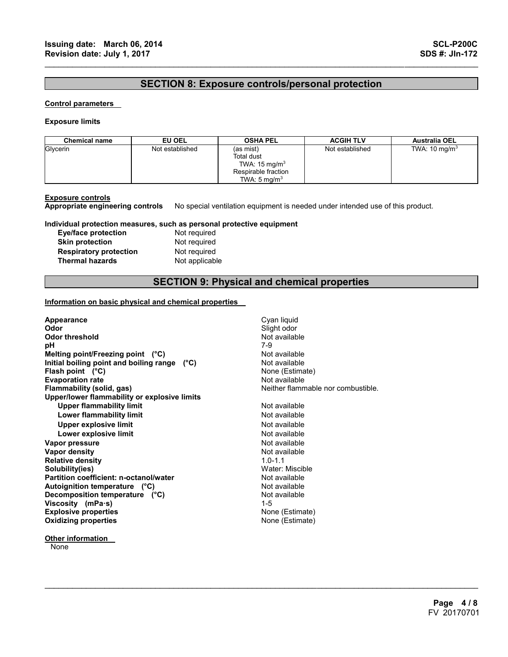## **SECTION 8: Exposure controls/personal protection**

 $\mathcal{L}_\mathcal{L} = \{ \mathcal{L}_\mathcal{L} = \{ \mathcal{L}_\mathcal{L} = \{ \mathcal{L}_\mathcal{L} = \{ \mathcal{L}_\mathcal{L} = \{ \mathcal{L}_\mathcal{L} = \{ \mathcal{L}_\mathcal{L} = \{ \mathcal{L}_\mathcal{L} = \{ \mathcal{L}_\mathcal{L} = \{ \mathcal{L}_\mathcal{L} = \{ \mathcal{L}_\mathcal{L} = \{ \mathcal{L}_\mathcal{L} = \{ \mathcal{L}_\mathcal{L} = \{ \mathcal{L}_\mathcal{L} = \{ \mathcal{L}_\mathcal{$ 

## **Control parameters**

#### **Exposure limits**

| <b>Chemical name</b> | EU OEL          | <b>OSHA PEL</b>                                                                                              | <b>ACGIH TLV</b> | <b>Australia OEL</b>     |
|----------------------|-----------------|--------------------------------------------------------------------------------------------------------------|------------------|--------------------------|
| Glycerin             | Not established | (as mist)<br><b>Total dust</b><br>TWA: $15 \text{ mg/m}^3$<br>Respirable fraction<br>TWA: $5 \text{ ma/m}^3$ | Not established  | TWA: $10 \text{ mg/m}^3$ |

**Exposure controls Appropriate engineering controls** No special ventilation equipment is needed under intended use of this product.

## **Individual protection measures, such as personal protective equipment**

| Eye/face protection           |
|-------------------------------|
| <b>Skin protection</b>        |
| <b>Respiratory protection</b> |
| <b>Thermal hazards</b>        |

Not required **Not required Not required Not applicable** 

## **SECTION 9: Physical and chemical properties**

 $\mathcal{L}_\mathcal{L} = \mathcal{L}_\mathcal{L} = \mathcal{L}_\mathcal{L} = \mathcal{L}_\mathcal{L} = \mathcal{L}_\mathcal{L} = \mathcal{L}_\mathcal{L} = \mathcal{L}_\mathcal{L} = \mathcal{L}_\mathcal{L} = \mathcal{L}_\mathcal{L} = \mathcal{L}_\mathcal{L} = \mathcal{L}_\mathcal{L} = \mathcal{L}_\mathcal{L} = \mathcal{L}_\mathcal{L} = \mathcal{L}_\mathcal{L} = \mathcal{L}_\mathcal{L} = \mathcal{L}_\mathcal{L} = \mathcal{L}_\mathcal{L}$ 

## **Information on basic physical and chemical properties**

| Appearance<br>Odor                           | Cyan liquid<br>Slight odor         |
|----------------------------------------------|------------------------------------|
| <b>Odor threshold</b>                        | Not available                      |
| рH                                           | 7-9                                |
| Melting point/Freezing point $(^{\circ}C)$   | Not available                      |
| Initial boiling point and boiling range (°C) | Not available                      |
| Flash point $(^{\circ}C)$                    | None (Estimate)                    |
| <b>Evaporation rate</b>                      | Not available                      |
| Flammability (solid, gas)                    | Neither flammable nor combustible. |
| Upper/lower flammability or explosive limits |                                    |
| <b>Upper flammability limit</b>              | Not available                      |
| Lower flammability limit                     | Not available                      |
| <b>Upper explosive limit</b>                 | Not available                      |
| Lower explosive limit                        | Not available                      |
| Vapor pressure                               | Not available                      |
| <b>Vapor density</b>                         | Not available                      |
| <b>Relative density</b>                      | $1.0 - 1.1$                        |
| Solubility(ies)                              | Water: Miscible                    |
| Partition coefficient: n-octanol/water       | Not available                      |
| Autoignition temperature (°C)                | Not available                      |
| Decomposition temperature (°C)               | Not available                      |
| Viscosity (mPa $\cdot$ s)                    | $1 - 5$                            |
| <b>Explosive properties</b>                  | None (Estimate)                    |
| <b>Oxidizing properties</b>                  | None (Estimate)                    |
|                                              |                                    |

## **Other information**

**None**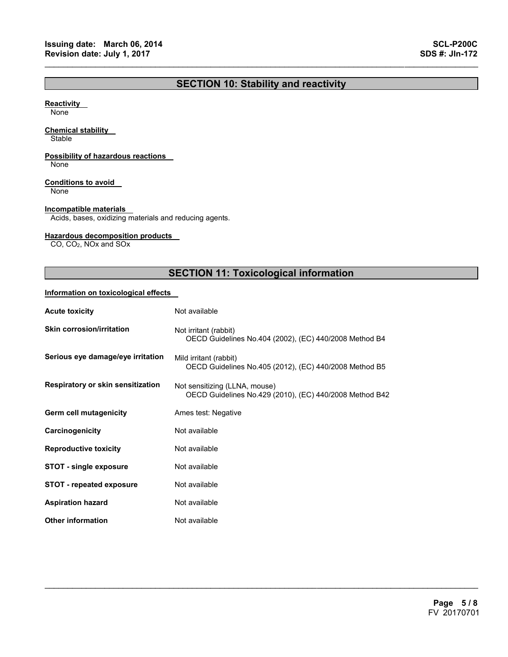## **SECTION 10: Stability and reactivity**

 $\mathcal{L}_\mathcal{L} = \{ \mathcal{L}_\mathcal{L} = \{ \mathcal{L}_\mathcal{L} = \{ \mathcal{L}_\mathcal{L} = \{ \mathcal{L}_\mathcal{L} = \{ \mathcal{L}_\mathcal{L} = \{ \mathcal{L}_\mathcal{L} = \{ \mathcal{L}_\mathcal{L} = \{ \mathcal{L}_\mathcal{L} = \{ \mathcal{L}_\mathcal{L} = \{ \mathcal{L}_\mathcal{L} = \{ \mathcal{L}_\mathcal{L} = \{ \mathcal{L}_\mathcal{L} = \{ \mathcal{L}_\mathcal{L} = \{ \mathcal{L}_\mathcal{$ 

## **Reactivity**

None

## **Chemical stability**

**Stable** 

## **Possibility of hazardous reactions**

None

## **Conditions to avoid**

None

## **Incompatible materials**

Acids, bases, oxidizing materials and reducing agents.

## **Hazardous decomposition products**

CO, CO2, NOx and SOx

## **SECTION 11: Toxicological information**

 $\mathcal{L}_\mathcal{L} = \mathcal{L}_\mathcal{L} = \mathcal{L}_\mathcal{L} = \mathcal{L}_\mathcal{L} = \mathcal{L}_\mathcal{L} = \mathcal{L}_\mathcal{L} = \mathcal{L}_\mathcal{L} = \mathcal{L}_\mathcal{L} = \mathcal{L}_\mathcal{L} = \mathcal{L}_\mathcal{L} = \mathcal{L}_\mathcal{L} = \mathcal{L}_\mathcal{L} = \mathcal{L}_\mathcal{L} = \mathcal{L}_\mathcal{L} = \mathcal{L}_\mathcal{L} = \mathcal{L}_\mathcal{L} = \mathcal{L}_\mathcal{L}$ 

## **Information on toxicological effects**

| <b>Acute toxicity</b>             | Not available                                                                            |
|-----------------------------------|------------------------------------------------------------------------------------------|
| <b>Skin corrosion/irritation</b>  | Not irritant (rabbit)<br>OECD Guidelines No.404 (2002), (EC) 440/2008 Method B4          |
| Serious eye damage/eye irritation | Mild irritant (rabbit)<br>OECD Guidelines No.405 (2012), (EC) 440/2008 Method B5         |
| Respiratory or skin sensitization | Not sensitizing (LLNA, mouse)<br>OECD Guidelines No.429 (2010), (EC) 440/2008 Method B42 |
| Germ cell mutagenicity            | Ames test: Negative                                                                      |
| Carcinogenicity                   | Not available                                                                            |
| <b>Reproductive toxicity</b>      | Not available                                                                            |
| <b>STOT - single exposure</b>     | Not available                                                                            |
| <b>STOT - repeated exposure</b>   | Not available                                                                            |
| <b>Aspiration hazard</b>          | Not available                                                                            |
| <b>Other information</b>          | Not available                                                                            |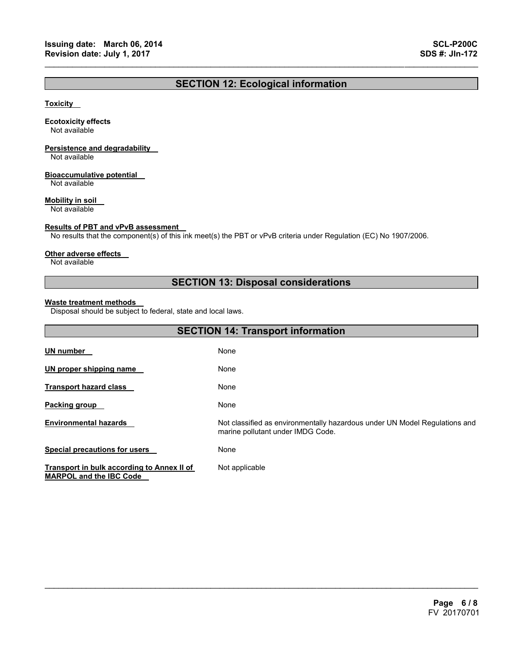## **SECTION 12: Ecological information**

 $\mathcal{L}_\mathcal{L} = \{ \mathcal{L}_\mathcal{L} = \{ \mathcal{L}_\mathcal{L} = \{ \mathcal{L}_\mathcal{L} = \{ \mathcal{L}_\mathcal{L} = \{ \mathcal{L}_\mathcal{L} = \{ \mathcal{L}_\mathcal{L} = \{ \mathcal{L}_\mathcal{L} = \{ \mathcal{L}_\mathcal{L} = \{ \mathcal{L}_\mathcal{L} = \{ \mathcal{L}_\mathcal{L} = \{ \mathcal{L}_\mathcal{L} = \{ \mathcal{L}_\mathcal{L} = \{ \mathcal{L}_\mathcal{L} = \{ \mathcal{L}_\mathcal{$ 

## **Toxicity**

## **Ecotoxicity effects**

Not available

## **Persistence and degradability**

Not available

## **Bioaccumulative potential**

Not available

## **Mobility in soil**

Not available

## **Results of PBT and vPvB assessment**

No results that the component(s) of this ink meet(s) the PBT or vPvB criteria under Regulation (EC) No 1907/2006.

#### **Other adverse effects**

Not available

## **SECTION 13: Disposal considerations**

## **Waste treatment methods**

Disposal should be subject to federal, state and local laws.

| <b>SECTION 14: Transport information</b>                                     |                                                                                                                 |  |  |
|------------------------------------------------------------------------------|-----------------------------------------------------------------------------------------------------------------|--|--|
| <u>UN number</u>                                                             | None                                                                                                            |  |  |
| UN proper shipping name                                                      | None                                                                                                            |  |  |
| Transport hazard class                                                       | None                                                                                                            |  |  |
| Packing group                                                                | None                                                                                                            |  |  |
| <b>Environmental hazards</b>                                                 | Not classified as environmentally hazardous under UN Model Regulations and<br>marine pollutant under IMDG Code. |  |  |
| <b>Special precautions for users</b>                                         | None                                                                                                            |  |  |
| Transport in bulk according to Annex II of<br><b>MARPOL and the IBC Code</b> | Not applicable                                                                                                  |  |  |

 $\mathcal{L}_\mathcal{L} = \mathcal{L}_\mathcal{L} = \mathcal{L}_\mathcal{L} = \mathcal{L}_\mathcal{L} = \mathcal{L}_\mathcal{L} = \mathcal{L}_\mathcal{L} = \mathcal{L}_\mathcal{L} = \mathcal{L}_\mathcal{L} = \mathcal{L}_\mathcal{L} = \mathcal{L}_\mathcal{L} = \mathcal{L}_\mathcal{L} = \mathcal{L}_\mathcal{L} = \mathcal{L}_\mathcal{L} = \mathcal{L}_\mathcal{L} = \mathcal{L}_\mathcal{L} = \mathcal{L}_\mathcal{L} = \mathcal{L}_\mathcal{L}$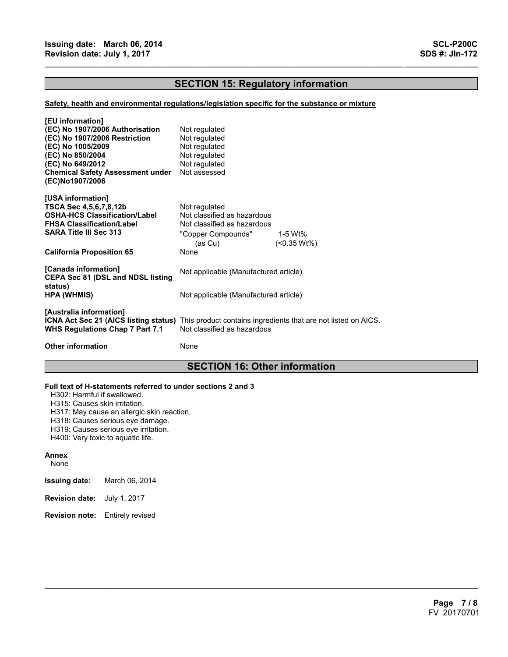## **SECTION 15: Regulatory information**

 $\mathcal{L}_\mathcal{L} = \{ \mathcal{L}_\mathcal{L} = \{ \mathcal{L}_\mathcal{L} = \{ \mathcal{L}_\mathcal{L} = \{ \mathcal{L}_\mathcal{L} = \{ \mathcal{L}_\mathcal{L} = \{ \mathcal{L}_\mathcal{L} = \{ \mathcal{L}_\mathcal{L} = \{ \mathcal{L}_\mathcal{L} = \{ \mathcal{L}_\mathcal{L} = \{ \mathcal{L}_\mathcal{L} = \{ \mathcal{L}_\mathcal{L} = \{ \mathcal{L}_\mathcal{L} = \{ \mathcal{L}_\mathcal{L} = \{ \mathcal{L}_\mathcal{$ 

## **Safety, health and environmental regulations/legislation specific for the substance or mixture**

| [EU information]                                                                                                                                                   |                                       |                 |  |
|--------------------------------------------------------------------------------------------------------------------------------------------------------------------|---------------------------------------|-----------------|--|
| (EC) No 1907/2006 Authorisation                                                                                                                                    | Not regulated                         |                 |  |
| (EC) No 1907/2006 Restriction                                                                                                                                      | Not regulated                         |                 |  |
| (EC) No 1005/2009                                                                                                                                                  | Not regulated                         |                 |  |
| (EC) No 850/2004                                                                                                                                                   | Not regulated                         |                 |  |
| (EC) No 649/2012                                                                                                                                                   | Not regulated                         |                 |  |
| <b>Chemical Safety Assessment under</b><br>(EC)No1907/2006                                                                                                         | Not assessed                          |                 |  |
| [USA information]                                                                                                                                                  |                                       |                 |  |
| TSCA Sec 4,5,6,7,8,12b                                                                                                                                             | Not regulated                         |                 |  |
| <b>OSHA-HCS Classification/Label</b>                                                                                                                               | Not classified as hazardous           |                 |  |
| <b>FHSA Classification/Label</b>                                                                                                                                   | Not classified as hazardous           |                 |  |
| <b>SARA Title III Sec 313</b>                                                                                                                                      | "Copper Compounds"                    | 1-5 Wt%         |  |
|                                                                                                                                                                    | (as Cu)                               | $($ < 0.35 Wt%) |  |
| <b>California Proposition 65</b>                                                                                                                                   | None                                  |                 |  |
| [Canada information]<br><b>CEPA Sec 81 (DSL and NDSL listing</b>                                                                                                   | Not applicable (Manufactured article) |                 |  |
| status)<br><b>HPA (WHMIS)</b>                                                                                                                                      | Not applicable (Manufactured article) |                 |  |
| [Australia information]<br>ICNA Act Sec 21 (AICS listing status) This product contains ingredients that are not listed on AICS.<br>WHS Regulations Chap 7 Part 7.1 | Not classified as hazardous           |                 |  |
| <b>Other information</b>                                                                                                                                           | None                                  |                 |  |
|                                                                                                                                                                    |                                       |                 |  |

## **SECTION 16: Other information**

 $\mathcal{L}_\mathcal{L} = \mathcal{L}_\mathcal{L} = \mathcal{L}_\mathcal{L} = \mathcal{L}_\mathcal{L} = \mathcal{L}_\mathcal{L} = \mathcal{L}_\mathcal{L} = \mathcal{L}_\mathcal{L} = \mathcal{L}_\mathcal{L} = \mathcal{L}_\mathcal{L} = \mathcal{L}_\mathcal{L} = \mathcal{L}_\mathcal{L} = \mathcal{L}_\mathcal{L} = \mathcal{L}_\mathcal{L} = \mathcal{L}_\mathcal{L} = \mathcal{L}_\mathcal{L} = \mathcal{L}_\mathcal{L} = \mathcal{L}_\mathcal{L}$ 

#### **Full text of H-statements referred to under sections 2 and 3**

H302: Harmful if swallowed.

H315: Causes skin irritation.

H317: May cause an allergic skin reaction.

H318: Causes serious eye damage.

H319: Causes serious eye irritation.

H400: Very toxic to aquatic life.

#### **Annex**

None

- **Issuing date:** March 06, 2014
- **Revision date:** July 1, 2017
- **Revision note:** Entirely revised